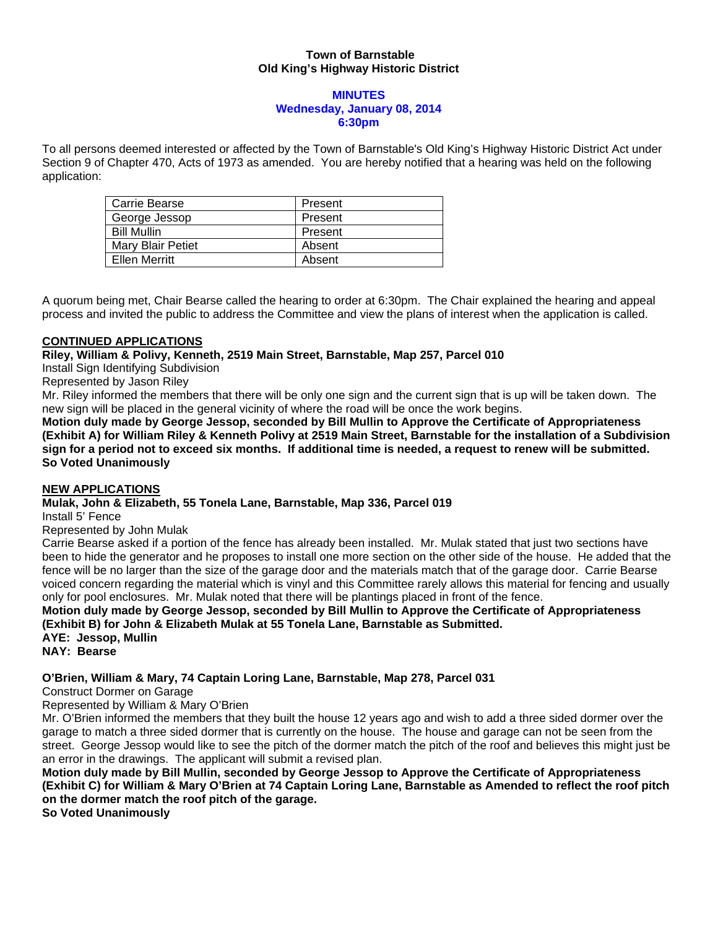## **Town of Barnstable Old King's Highway Historic District**

#### **MINUTES Wednesday, January 08, 2014 6:30pm**

To all persons deemed interested or affected by the Town of Barnstable's Old King's Highway Historic District Act under Section 9 of Chapter 470, Acts of 1973 as amended. You are hereby notified that a hearing was held on the following application:

| Carrie Bearse            | Present |
|--------------------------|---------|
| George Jessop            | Present |
| <b>Bill Mullin</b>       | Present |
| <b>Mary Blair Petiet</b> | Absent  |
| Ellen Merritt            | Absent  |

A quorum being met, Chair Bearse called the hearing to order at 6:30pm. The Chair explained the hearing and appeal process and invited the public to address the Committee and view the plans of interest when the application is called.

## **CONTINUED APPLICATIONS**

**Riley, William & Polivy, Kenneth, 2519 Main Street, Barnstable, Map 257, Parcel 010** 

Install Sign Identifying Subdivision

Represented by Jason Riley

Mr. Riley informed the members that there will be only one sign and the current sign that is up will be taken down. The new sign will be placed in the general vicinity of where the road will be once the work begins.

**Motion duly made by George Jessop, seconded by Bill Mullin to Approve the Certificate of Appropriateness (Exhibit A) for William Riley & Kenneth Polivy at 2519 Main Street, Barnstable for the installation of a Subdivision sign for a period not to exceed six months. If additional time is needed, a request to renew will be submitted. So Voted Unanimously** 

### **NEW APPLICATIONS**

### **Mulak, John & Elizabeth, 55 Tonela Lane, Barnstable, Map 336, Parcel 019**

Install 5' Fence

Represented by John Mulak

Carrie Bearse asked if a portion of the fence has already been installed. Mr. Mulak stated that just two sections have been to hide the generator and he proposes to install one more section on the other side of the house. He added that the fence will be no larger than the size of the garage door and the materials match that of the garage door. Carrie Bearse voiced concern regarding the material which is vinyl and this Committee rarely allows this material for fencing and usually only for pool enclosures. Mr. Mulak noted that there will be plantings placed in front of the fence.

**Motion duly made by George Jessop, seconded by Bill Mullin to Approve the Certificate of Appropriateness (Exhibit B) for John & Elizabeth Mulak at 55 Tonela Lane, Barnstable as Submitted. AYE: Jessop, Mullin** 

**NAY: Bearse** 

## **O'Brien, William & Mary, 74 Captain Loring Lane, Barnstable, Map 278, Parcel 031**

Construct Dormer on Garage

Represented by William & Mary O'Brien

Mr. O'Brien informed the members that they built the house 12 years ago and wish to add a three sided dormer over the garage to match a three sided dormer that is currently on the house. The house and garage can not be seen from the street. George Jessop would like to see the pitch of the dormer match the pitch of the roof and believes this might just be an error in the drawings. The applicant will submit a revised plan.

**Motion duly made by Bill Mullin, seconded by George Jessop to Approve the Certificate of Appropriateness (Exhibit C) for William & Mary O'Brien at 74 Captain Loring Lane, Barnstable as Amended to reflect the roof pitch on the dormer match the roof pitch of the garage.** 

**So Voted Unanimously**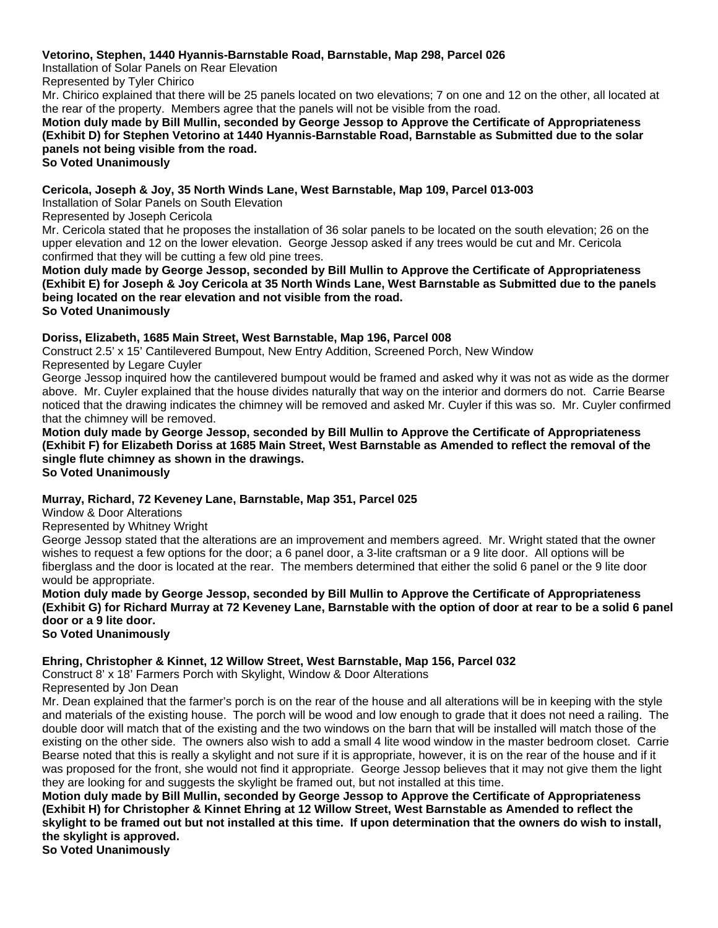## **Vetorino, Stephen, 1440 Hyannis-Barnstable Road, Barnstable, Map 298, Parcel 026**

Installation of Solar Panels on Rear Elevation

Represented by Tyler Chirico

Mr. Chirico explained that there will be 25 panels located on two elevations; 7 on one and 12 on the other, all located at the rear of the property. Members agree that the panels will not be visible from the road.

## **Motion duly made by Bill Mullin, seconded by George Jessop to Approve the Certificate of Appropriateness (Exhibit D) for Stephen Vetorino at 1440 Hyannis-Barnstable Road, Barnstable as Submitted due to the solar panels not being visible from the road.**

**So Voted Unanimously** 

### **Cericola, Joseph & Joy, 35 North Winds Lane, West Barnstable, Map 109, Parcel 013-003**

Installation of Solar Panels on South Elevation

Represented by Joseph Cericola

Mr. Cericola stated that he proposes the installation of 36 solar panels to be located on the south elevation; 26 on the upper elevation and 12 on the lower elevation. George Jessop asked if any trees would be cut and Mr. Cericola confirmed that they will be cutting a few old pine trees.

**Motion duly made by George Jessop, seconded by Bill Mullin to Approve the Certificate of Appropriateness (Exhibit E) for Joseph & Joy Cericola at 35 North Winds Lane, West Barnstable as Submitted due to the panels being located on the rear elevation and not visible from the road. So Voted Unanimously**

### **Doriss, Elizabeth, 1685 Main Street, West Barnstable, Map 196, Parcel 008**

Construct 2.5' x 15' Cantilevered Bumpout, New Entry Addition, Screened Porch, New Window Represented by Legare Cuyler

George Jessop inquired how the cantilevered bumpout would be framed and asked why it was not as wide as the dormer above. Mr. Cuyler explained that the house divides naturally that way on the interior and dormers do not. Carrie Bearse noticed that the drawing indicates the chimney will be removed and asked Mr. Cuyler if this was so. Mr. Cuyler confirmed that the chimney will be removed.

**Motion duly made by George Jessop, seconded by Bill Mullin to Approve the Certificate of Appropriateness (Exhibit F) for Elizabeth Doriss at 1685 Main Street, West Barnstable as Amended to reflect the removal of the single flute chimney as shown in the drawings. So Voted Unanimously** 

# **Murray, Richard, 72 Keveney Lane, Barnstable, Map 351, Parcel 025**

Window & Door Alterations

Represented by Whitney Wright

George Jessop stated that the alterations are an improvement and members agreed. Mr. Wright stated that the owner wishes to request a few options for the door; a 6 panel door, a 3-lite craftsman or a 9 lite door. All options will be fiberglass and the door is located at the rear. The members determined that either the solid 6 panel or the 9 lite door would be appropriate.

**Motion duly made by George Jessop, seconded by Bill Mullin to Approve the Certificate of Appropriateness (Exhibit G) for Richard Murray at 72 Keveney Lane, Barnstable with the option of door at rear to be a solid 6 panel door or a 9 lite door. So Voted Unanimously** 

### **Ehring, Christopher & Kinnet, 12 Willow Street, West Barnstable, Map 156, Parcel 032**

Construct 8' x 18' Farmers Porch with Skylight, Window & Door Alterations

Represented by Jon Dean

Mr. Dean explained that the farmer's porch is on the rear of the house and all alterations will be in keeping with the style and materials of the existing house. The porch will be wood and low enough to grade that it does not need a railing. The double door will match that of the existing and the two windows on the barn that will be installed will match those of the existing on the other side. The owners also wish to add a small 4 lite wood window in the master bedroom closet. Carrie Bearse noted that this is really a skylight and not sure if it is appropriate, however, it is on the rear of the house and if it was proposed for the front, she would not find it appropriate. George Jessop believes that it may not give them the light they are looking for and suggests the skylight be framed out, but not installed at this time.

**Motion duly made by Bill Mullin, seconded by George Jessop to Approve the Certificate of Appropriateness (Exhibit H) for Christopher & Kinnet Ehring at 12 Willow Street, West Barnstable as Amended to reflect the skylight to be framed out but not installed at this time. If upon determination that the owners do wish to install, the skylight is approved.** 

**So Voted Unanimously**